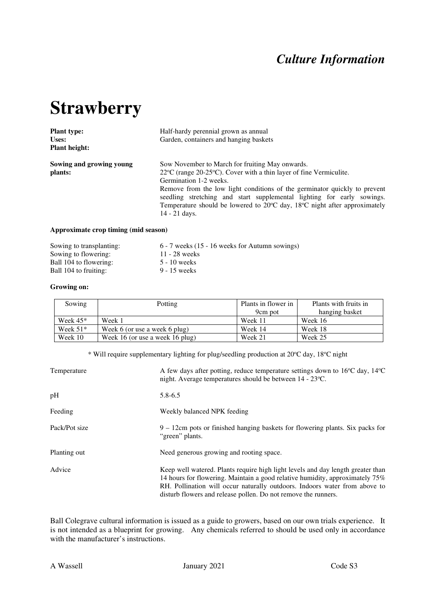## *Culture Information*

# **Strawberry**

| <b>Plant type:</b>       | Half-hardy perennial grown as annual                                                             |  |  |  |  |
|--------------------------|--------------------------------------------------------------------------------------------------|--|--|--|--|
| Uses:                    | Garden, containers and hanging baskets                                                           |  |  |  |  |
| <b>Plant height:</b>     |                                                                                                  |  |  |  |  |
| Sowing and growing young | Sow November to March for fruiting May onwards.                                                  |  |  |  |  |
| plants:                  | $22^{\circ}$ C (range $20-25^{\circ}$ C). Cover with a thin layer of fine Vermiculite.           |  |  |  |  |
|                          | Germination 1-2 weeks.                                                                           |  |  |  |  |
|                          | Remove from the low light conditions of the germinator quickly to prevent                        |  |  |  |  |
|                          | seedling stretching and start supplemental lighting for early sowings.                           |  |  |  |  |
|                          | Temperature should be lowered to $20^{\circ}$ C day, 18 <sup>o</sup> C night after approximately |  |  |  |  |
|                          | 14 - 21 days.                                                                                    |  |  |  |  |
|                          |                                                                                                  |  |  |  |  |

#### **Approximate crop timing (mid season)**

| Sowing to transplanting: | 6 - 7 weeks (15 - 16 weeks for Autumn sowings) |
|--------------------------|------------------------------------------------|
| Sowing to flowering:     | $11 - 28$ weeks                                |
| Ball 104 to flowering:   | 5 - 10 weeks                                   |
| Ball 104 to fruiting:    | 9 - 15 weeks                                   |
|                          |                                                |

#### **Growing on:**

| Sowing     | Potting                         | Plants in flower in | Plants with fruits in |
|------------|---------------------------------|---------------------|-----------------------|
|            |                                 | 9cm pot             | hanging basket        |
| Week $45*$ | Week 1                          | Week 11             | Week 16               |
| Week $51*$ | Week 6 (or use a week 6 plug)   | Week 14             | Week 18               |
| Week 10    | Week 16 (or use a week 16 plug) | Week 21             | Week 25               |

\* Will require supplementary lighting for plug/seedling production at 20°C day, 18°C night

| Temperature   | A few days after potting, reduce temperature settings down to 16°C day, 14°C<br>night. Average temperatures should be between 14 - 23 °C.                                                                                                                                                                       |
|---------------|-----------------------------------------------------------------------------------------------------------------------------------------------------------------------------------------------------------------------------------------------------------------------------------------------------------------|
| pH            | $5.8 - 6.5$                                                                                                                                                                                                                                                                                                     |
| Feeding       | Weekly balanced NPK feeding                                                                                                                                                                                                                                                                                     |
| Pack/Pot size | $9 - 12$ cm pots or finished hanging baskets for flowering plants. Six packs for<br>"green" plants.                                                                                                                                                                                                             |
| Planting out  | Need generous growing and rooting space.                                                                                                                                                                                                                                                                        |
| Advice        | Keep well watered. Plants require high light levels and day length greater than<br>14 hours for flowering. Maintain a good relative humidity, approximately 75%<br>RH. Pollination will occur naturally outdoors. Indoors water from above to<br>disturb flowers and release pollen. Do not remove the runners. |

Ball Colegrave cultural information is issued as a guide to growers, based on our own trials experience. It is not intended as a blueprint for growing. Any chemicals referred to should be used only in accordance with the manufacturer's instructions.